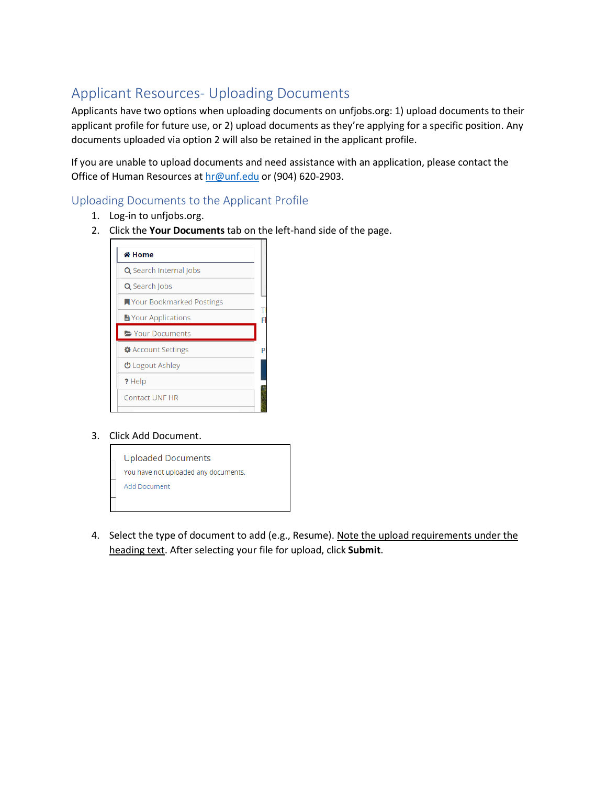## Applicant Resources- Uploading Documents

Applicants have two options when uploading documents on unfjobs.org: 1) upload documents to their applicant profile for future use, or 2) upload documents as they're applying for a specific position. Any documents uploaded via option 2 will also be retained in the applicant profile.

If you are unable to upload documents and need assistance with an application, please contact the Office of Human Resources at [hr@unf.edu](mailto:hr@unf.edu) or (904) 620-2903.

## Uploading Documents to the Applicant Profile

- 1. Log-in to unfjobs.org.
- 2. Click the **Your Documents** tab on the left-hand side of the page.

| 좀 Home                        |  |
|-------------------------------|--|
| <b>Q</b> Search Internal Jobs |  |
| Q Search Jobs                 |  |
| ■ Your Bookmarked Postings    |  |
| <b>La Your Applications</b>   |  |
| Your Documents                |  |
| <b>♦</b> Account Settings     |  |
| <b>む</b> Logout Ashley        |  |
| ? Help                        |  |
| <b>Contact UNF HR</b>         |  |
|                               |  |

## 3. Click Add Document.



4. Select the type of document to add (e.g., Resume). Note the upload requirements under the heading text. After selecting your file for upload, click **Submit**.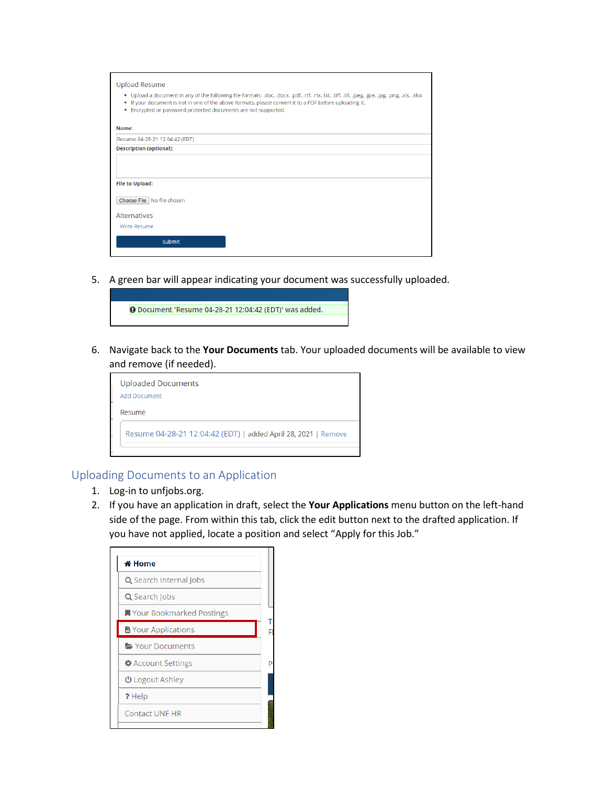| <b>Upload Resume</b>                                                                                                                                                                                                                                                                                                                   |  |  |  |  |  |  |  |
|----------------------------------------------------------------------------------------------------------------------------------------------------------------------------------------------------------------------------------------------------------------------------------------------------------------------------------------|--|--|--|--|--|--|--|
| . Upload a document in any of the following file formats: .doc, .docx, .pdf, .rtf, .rtx. txt, .tiff, .tif, .jpeg, .jpe, .jpg, .jpg, .xls, .xlsx<br>. If your document is not in one of the above formats, please convert it to a PDF before uploading it.<br>Encrypted or password-protected documents are not supported.<br>$\bullet$ |  |  |  |  |  |  |  |
| Name:                                                                                                                                                                                                                                                                                                                                  |  |  |  |  |  |  |  |
| Resume 04-28-21 12:04:42 (EDT)                                                                                                                                                                                                                                                                                                         |  |  |  |  |  |  |  |
| <b>Description (optional):</b>                                                                                                                                                                                                                                                                                                         |  |  |  |  |  |  |  |
|                                                                                                                                                                                                                                                                                                                                        |  |  |  |  |  |  |  |
| <b>File to Upload:</b>                                                                                                                                                                                                                                                                                                                 |  |  |  |  |  |  |  |
| Choose File   No file chosen                                                                                                                                                                                                                                                                                                           |  |  |  |  |  |  |  |
| <b>Alternatives</b>                                                                                                                                                                                                                                                                                                                    |  |  |  |  |  |  |  |
| Write Resume                                                                                                                                                                                                                                                                                                                           |  |  |  |  |  |  |  |
| <b>Submit</b>                                                                                                                                                                                                                                                                                                                          |  |  |  |  |  |  |  |
|                                                                                                                                                                                                                                                                                                                                        |  |  |  |  |  |  |  |

5. A green bar will appear indicating your document was successfully uploaded.



6. Navigate back to the **Your Documents** tab. Your uploaded documents will be available to view and remove (if needed).

| <b>Uploaded Documents</b><br><b>Add Document</b>               |
|----------------------------------------------------------------|
| Resume                                                         |
| Resume 04-28-21 12:04:42 (EDT)   added April 28, 2021   Remove |

## Uploading Documents to an Application

- 1. Log-in to unfjobs.org.
- 2. If you have an application in draft, select the **Your Applications** menu button on the left-hand side of the page. From within this tab, click the edit button next to the drafted application. If you have not applied, locate a position and select "Apply for this Job."

| 좀 Home                        |  |
|-------------------------------|--|
| <b>Q</b> Search Internal Jobs |  |
| Q Search Jobs                 |  |
| ■ Your Bookmarked Postings    |  |
| ■ Your Applications           |  |
| Your Documents                |  |
| <b>A</b> Account Settings     |  |
| <b>心</b> Logout Ashley        |  |
| ? Help                        |  |
| <b>Contact UNF HR</b>         |  |
|                               |  |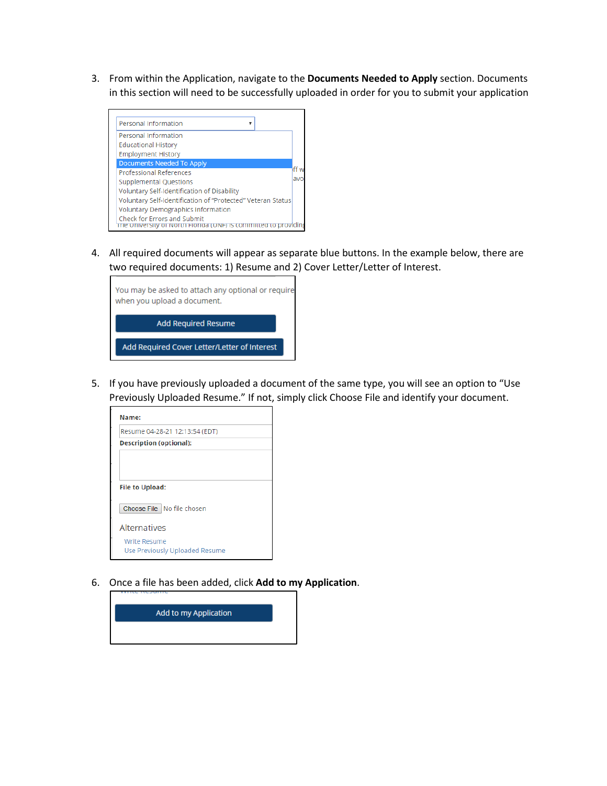3. From within the Application, navigate to the **Documents Needed to Apply** section. Documents in this section will need to be successfully uploaded in order for you to submit your application



4. All required documents will appear as separate blue buttons. In the example below, there are two required documents: 1) Resume and 2) Cover Letter/Letter of Interest.



5. If you have previously uploaded a document of the same type, you will see an option to "Use Previously Uploaded Resume." If not, simply click Choose File and identify your document.



6. Once a file has been added, click **Add to my Application**.